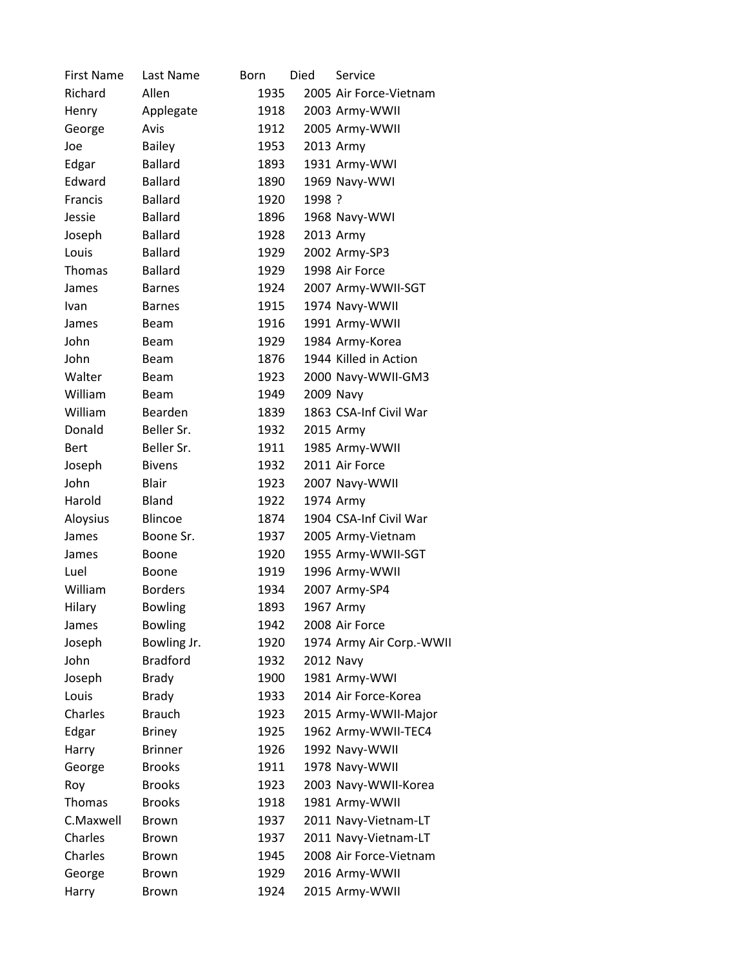| <b>First Name</b> | Last Name       | Born | Died   | Service                  |
|-------------------|-----------------|------|--------|--------------------------|
| Richard           | Allen           | 1935 |        | 2005 Air Force-Vietnam   |
| Henry             | Applegate       | 1918 |        | 2003 Army-WWII           |
| George            | Avis            | 1912 |        | 2005 Army-WWII           |
| Joe               | <b>Bailey</b>   | 1953 |        | 2013 Army                |
| Edgar             | <b>Ballard</b>  | 1893 |        | 1931 Army-WWI            |
| Edward            | <b>Ballard</b>  | 1890 |        | 1969 Navy-WWI            |
| Francis           | <b>Ballard</b>  | 1920 | 1998 ? |                          |
| Jessie            | <b>Ballard</b>  | 1896 |        | 1968 Navy-WWI            |
| Joseph            | <b>Ballard</b>  | 1928 |        | 2013 Army                |
| Louis             | <b>Ballard</b>  | 1929 |        | 2002 Army-SP3            |
| Thomas            | <b>Ballard</b>  | 1929 |        | 1998 Air Force           |
| James             | <b>Barnes</b>   | 1924 |        | 2007 Army-WWII-SGT       |
| Ivan              | <b>Barnes</b>   | 1915 |        | 1974 Navy-WWII           |
| James             | Beam            | 1916 |        | 1991 Army-WWII           |
| John              | Beam            | 1929 |        | 1984 Army-Korea          |
| John              | Beam            | 1876 |        | 1944 Killed in Action    |
| Walter            | Beam            | 1923 |        | 2000 Navy-WWII-GM3       |
| William           | Beam            | 1949 |        | 2009 Navy                |
| William           | Bearden         | 1839 |        | 1863 CSA-Inf Civil War   |
| Donald            | Beller Sr.      | 1932 |        | 2015 Army                |
| <b>Bert</b>       | Beller Sr.      | 1911 |        | 1985 Army-WWII           |
| Joseph            | <b>Bivens</b>   | 1932 |        | 2011 Air Force           |
| John              | Blair           | 1923 |        | 2007 Navy-WWII           |
| Harold            | Bland           | 1922 |        | 1974 Army                |
| Aloysius          | <b>Blincoe</b>  | 1874 |        | 1904 CSA-Inf Civil War   |
| James             | Boone Sr.       | 1937 |        | 2005 Army-Vietnam        |
| James             | Boone           | 1920 |        | 1955 Army-WWII-SGT       |
| Luel              | Boone           | 1919 |        | 1996 Army-WWII           |
| William           | <b>Borders</b>  | 1934 |        | 2007 Army-SP4            |
| Hilary            | <b>Bowling</b>  | 1893 |        | 1967 Army                |
| James             | <b>Bowling</b>  | 1942 |        | 2008 Air Force           |
| Joseph            | Bowling Jr.     | 1920 |        | 1974 Army Air Corp.-WWII |
| John              | <b>Bradford</b> | 1932 |        | 2012 Navy                |
| Joseph            | <b>Brady</b>    | 1900 |        | 1981 Army-WWI            |
| Louis             | <b>Brady</b>    | 1933 |        | 2014 Air Force-Korea     |
| Charles           | <b>Brauch</b>   | 1923 |        | 2015 Army-WWII-Major     |
| Edgar             | <b>Briney</b>   | 1925 |        | 1962 Army-WWII-TEC4      |
| Harry             | <b>Brinner</b>  | 1926 |        | 1992 Navy-WWII           |
| George            | <b>Brooks</b>   | 1911 |        | 1978 Navy-WWII           |
| Roy               | <b>Brooks</b>   | 1923 |        | 2003 Navy-WWII-Korea     |
| Thomas            | <b>Brooks</b>   | 1918 |        | 1981 Army-WWII           |
| C.Maxwell         | <b>Brown</b>    | 1937 |        | 2011 Navy-Vietnam-LT     |
| Charles           | <b>Brown</b>    | 1937 |        | 2011 Navy-Vietnam-LT     |
| Charles           | <b>Brown</b>    | 1945 |        | 2008 Air Force-Vietnam   |
| George            | <b>Brown</b>    | 1929 |        | 2016 Army-WWII           |
| Harry             | Brown           | 1924 |        | 2015 Army-WWII           |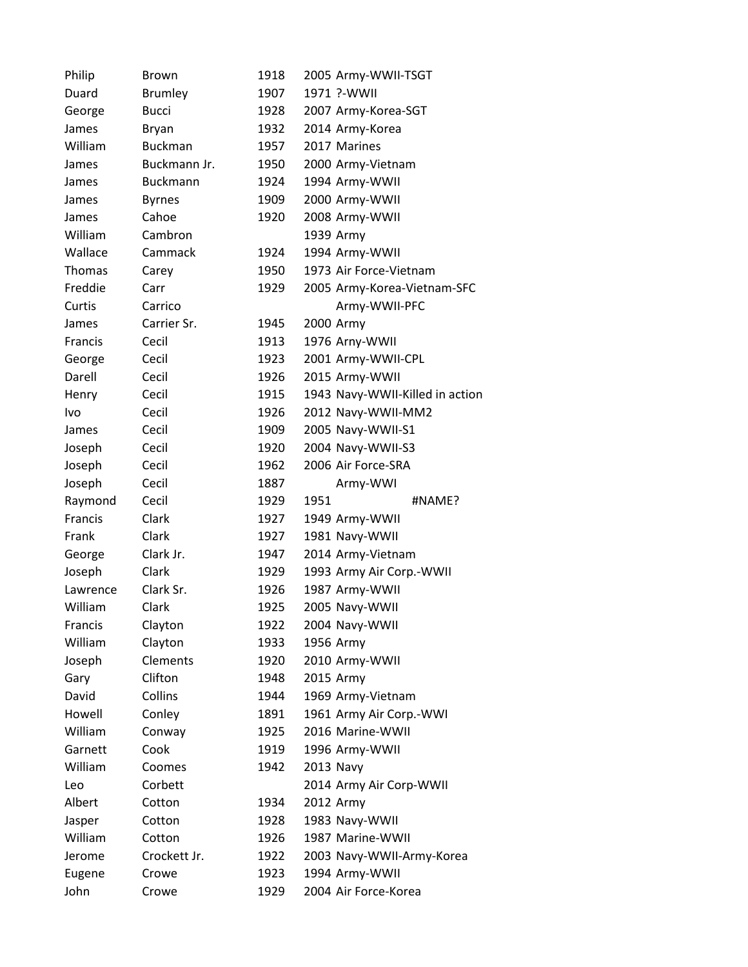| Philip         | Brown           | 1918         | 2005 Army-WWII-TSGT                    |
|----------------|-----------------|--------------|----------------------------------------|
| Duard          | <b>Brumley</b>  | 1907         | 1971 ?-WWII                            |
| George         | <b>Bucci</b>    | 1928         | 2007 Army-Korea-SGT                    |
| James          | <b>Bryan</b>    | 1932         | 2014 Army-Korea                        |
| William        | <b>Buckman</b>  | 1957         | 2017 Marines                           |
| James          | Buckmann Jr.    | 1950         | 2000 Army-Vietnam                      |
| James          | <b>Buckmann</b> | 1924         | 1994 Army-WWII                         |
| James          | <b>Byrnes</b>   | 1909         | 2000 Army-WWII                         |
| James          | Cahoe           | 1920         | 2008 Army-WWII                         |
| William        | Cambron         |              | 1939 Army                              |
| Wallace        | Cammack         | 1924         | 1994 Army-WWII                         |
| <b>Thomas</b>  | Carey           | 1950         | 1973 Air Force-Vietnam                 |
| Freddie        | Carr            | 1929         | 2005 Army-Korea-Vietnam-SFC            |
| Curtis         | Carrico         |              | Army-WWII-PFC                          |
| James          | Carrier Sr.     | 1945         | 2000 Army                              |
| <b>Francis</b> | Cecil           | 1913         | 1976 Arny-WWII                         |
| George         | Cecil           | 1923         | 2001 Army-WWII-CPL                     |
| Darell         | Cecil           | 1926         | 2015 Army-WWII                         |
| Henry          | Cecil           | 1915         | 1943 Navy-WWII-Killed in action        |
| <b>Ivo</b>     | Cecil           | 1926         | 2012 Navy-WWII-MM2                     |
| James          | Cecil           | 1909         | 2005 Navy-WWII-S1                      |
| Joseph         | Cecil           | 1920         | 2004 Navy-WWII-S3                      |
| Joseph         | Cecil           | 1962         | 2006 Air Force-SRA                     |
|                |                 |              |                                        |
| Joseph         | Cecil           | 1887         | Army-WWI                               |
| Raymond        | Cecil           | 1929         | 1951<br>#NAME?                         |
| Francis        | Clark           | 1927         | 1949 Army-WWII                         |
| Frank          | Clark           | 1927         | 1981 Navy-WWII                         |
| George         | Clark Jr.       | 1947         | 2014 Army-Vietnam                      |
| Joseph         | Clark           | 1929         | 1993 Army Air Corp.-WWII               |
| Lawrence       | Clark Sr.       | 1926         | 1987 Army-WWII                         |
| William        | Clark           | 1925         | 2005 Navy-WWII                         |
| Francis        | Clayton         | 1922         | 2004 Navy-WWII                         |
| William        | Clayton         | 1933         | 1956 Army                              |
| Joseph         | <b>Clements</b> | 1920         | 2010 Army-WWII                         |
| Gary           | Clifton         | 1948         | 2015 Army                              |
| David          | Collins         | 1944         | 1969 Army-Vietnam                      |
| Howell         | Conley          | 1891         | 1961 Army Air Corp.-WWI                |
| William        | Conway          | 1925         | 2016 Marine-WWII                       |
| Garnett        | Cook            | 1919         | 1996 Army-WWII                         |
| William        | Coomes          | 1942         | 2013 Navy                              |
| Leo            | Corbett         |              | 2014 Army Air Corp-WWII                |
| Albert         | Cotton          | 1934         | 2012 Army                              |
| Jasper         | Cotton          | 1928         | 1983 Navy-WWII                         |
| William        | Cotton          | 1926         | 1987 Marine-WWII                       |
| Jerome         | Crockett Jr.    | 1922         | 2003 Navy-WWII-Army-Korea              |
| Eugene<br>John | Crowe           | 1923<br>1929 | 1994 Army-WWII<br>2004 Air Force-Korea |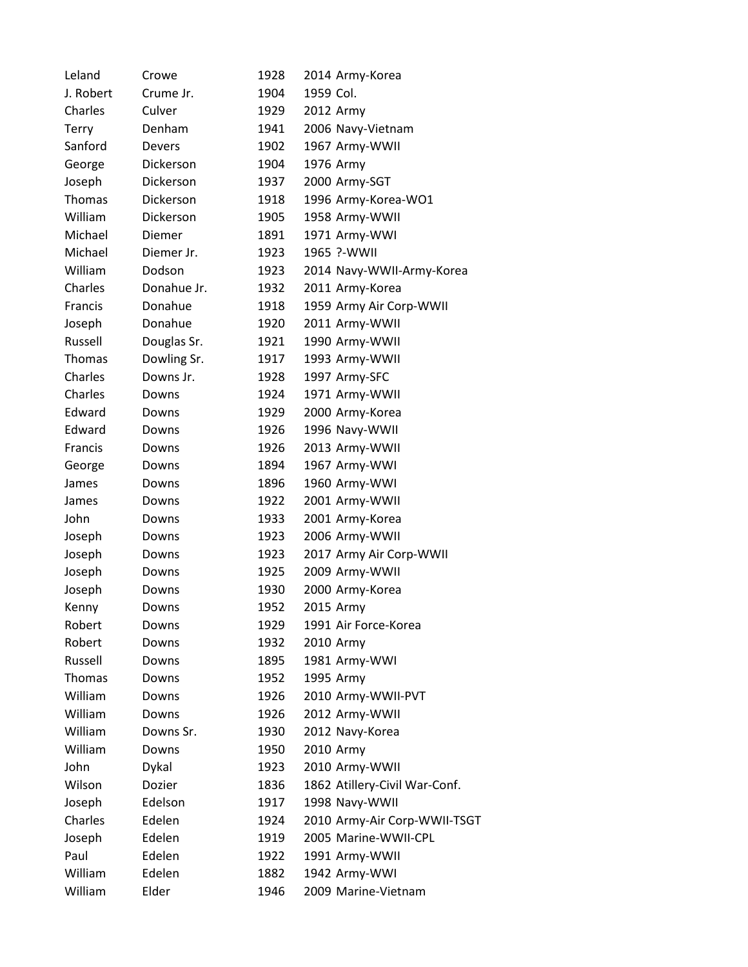| Leland        | Crowe         | 1928 | 2014 Army-Korea               |
|---------------|---------------|------|-------------------------------|
| J. Robert     | Crume Jr.     | 1904 | 1959 Col.                     |
| Charles       | Culver        | 1929 | 2012 Army                     |
| <b>Terry</b>  | Denham        | 1941 | 2006 Navy-Vietnam             |
| Sanford       | <b>Devers</b> | 1902 | 1967 Army-WWII                |
| George        | Dickerson     | 1904 | 1976 Army                     |
| Joseph        | Dickerson     | 1937 | 2000 Army-SGT                 |
| <b>Thomas</b> | Dickerson     | 1918 | 1996 Army-Korea-WO1           |
| William       | Dickerson     | 1905 | 1958 Army-WWII                |
| Michael       | Diemer        | 1891 | 1971 Army-WWI                 |
| Michael       | Diemer Jr.    | 1923 | 1965 ?-WWII                   |
| William       | Dodson        | 1923 | 2014 Navy-WWII-Army-Korea     |
| Charles       | Donahue Jr.   | 1932 | 2011 Army-Korea               |
| Francis       | Donahue       | 1918 | 1959 Army Air Corp-WWII       |
| Joseph        | Donahue       | 1920 | 2011 Army-WWII                |
| Russell       | Douglas Sr.   | 1921 | 1990 Army-WWII                |
| Thomas        | Dowling Sr.   | 1917 | 1993 Army-WWII                |
| Charles       | Downs Jr.     | 1928 | 1997 Army-SFC                 |
| Charles       | Downs         | 1924 | 1971 Army-WWII                |
| Edward        | Downs         | 1929 | 2000 Army-Korea               |
| Edward        | Downs         | 1926 | 1996 Navy-WWII                |
| Francis       | Downs         | 1926 | 2013 Army-WWII                |
| George        | Downs         | 1894 | 1967 Army-WWI                 |
| James         | Downs         | 1896 | 1960 Army-WWI                 |
| James         | Downs         | 1922 | 2001 Army-WWII                |
| John          | Downs         | 1933 | 2001 Army-Korea               |
| Joseph        | Downs         | 1923 | 2006 Army-WWII                |
| Joseph        | Downs         | 1923 | 2017 Army Air Corp-WWII       |
| Joseph        | Downs         | 1925 | 2009 Army-WWII                |
| Joseph        | Downs         | 1930 | 2000 Army-Korea               |
| Kenny         | Downs         | 1952 | 2015 Army                     |
| Robert        | Downs         | 1929 | 1991 Air Force-Korea          |
| Robert        | Downs         | 1932 | 2010 Army                     |
| Russell       | Downs         | 1895 | 1981 Army-WWI                 |
| Thomas        | Downs         | 1952 | 1995 Army                     |
| William       | Downs         | 1926 | 2010 Army-WWII-PVT            |
| William       | Downs         | 1926 | 2012 Army-WWII                |
| William       | Downs Sr.     | 1930 | 2012 Navy-Korea               |
| William       | Downs         | 1950 | 2010 Army                     |
| John          | Dykal         | 1923 | 2010 Army-WWII                |
| Wilson        | Dozier        | 1836 | 1862 Atillery-Civil War-Conf. |
| Joseph        | Edelson       | 1917 | 1998 Navy-WWII                |
| Charles       | Edelen        | 1924 | 2010 Army-Air Corp-WWII-TSGT  |
| Joseph        | Edelen        | 1919 | 2005 Marine-WWII-CPL          |
| Paul          | Edelen        | 1922 | 1991 Army-WWII                |
| William       | Edelen        | 1882 | 1942 Army-WWI                 |
| William       | Elder         | 1946 | 2009 Marine-Vietnam           |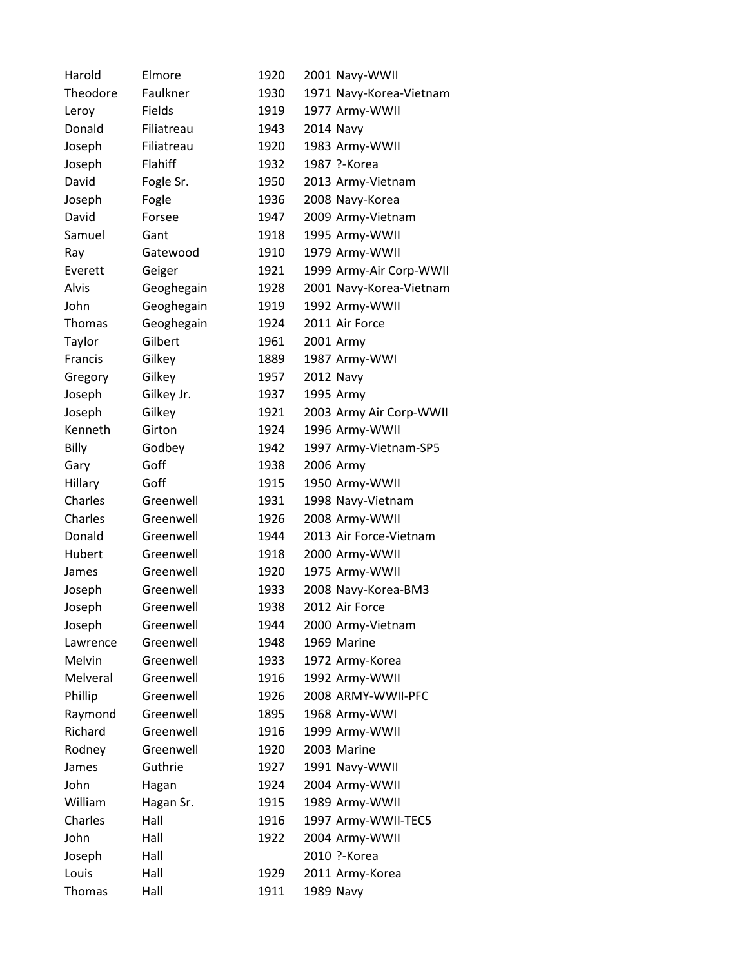| Harold        | Elmore     | 1920 | 2001 Navy-WWII          |
|---------------|------------|------|-------------------------|
| Theodore      | Faulkner   | 1930 | 1971 Navy-Korea-Vietnam |
| Leroy         | Fields     | 1919 | 1977 Army-WWII          |
| Donald        | Filiatreau | 1943 | <b>2014 Navy</b>        |
| Joseph        | Filiatreau | 1920 | 1983 Army-WWII          |
| Joseph        | Flahiff    | 1932 | 1987 ?-Korea            |
| David         | Fogle Sr.  | 1950 | 2013 Army-Vietnam       |
| Joseph        | Fogle      | 1936 | 2008 Navy-Korea         |
| David         | Forsee     | 1947 | 2009 Army-Vietnam       |
| Samuel        | Gant       | 1918 | 1995 Army-WWII          |
| Ray           | Gatewood   | 1910 | 1979 Army-WWII          |
| Everett       | Geiger     | 1921 | 1999 Army-Air Corp-WWII |
| Alvis         | Geoghegain | 1928 | 2001 Navy-Korea-Vietnam |
| John          | Geoghegain | 1919 | 1992 Army-WWII          |
| <b>Thomas</b> | Geoghegain | 1924 | 2011 Air Force          |
| Taylor        | Gilbert    | 1961 | 2001 Army               |
| Francis       | Gilkey     | 1889 | 1987 Army-WWI           |
| Gregory       | Gilkey     | 1957 | <b>2012 Navy</b>        |
| Joseph        | Gilkey Jr. | 1937 | 1995 Army               |
| Joseph        | Gilkey     | 1921 | 2003 Army Air Corp-WWII |
| Kenneth       | Girton     | 1924 | 1996 Army-WWII          |
| Billy         | Godbey     | 1942 | 1997 Army-Vietnam-SP5   |
| Gary          | Goff       | 1938 | 2006 Army               |
| Hillary       | Goff       | 1915 | 1950 Army-WWII          |
| Charles       | Greenwell  | 1931 | 1998 Navy-Vietnam       |
| Charles       | Greenwell  | 1926 | 2008 Army-WWII          |
| Donald        | Greenwell  | 1944 | 2013 Air Force-Vietnam  |
| Hubert        | Greenwell  | 1918 | 2000 Army-WWII          |
| James         | Greenwell  | 1920 | 1975 Army-WWII          |
| Joseph        | Greenwell  | 1933 | 2008 Navy-Korea-BM3     |
| Joseph        | Greenwell  | 1938 | 2012 Air Force          |
| Joseph        | Greenwell  | 1944 | 2000 Army-Vietnam       |
| Lawrence      | Greenwell  | 1948 | 1969 Marine             |
| Melvin        | Greenwell  | 1933 | 1972 Army-Korea         |
| Melveral      | Greenwell  | 1916 | 1992 Army-WWII          |
| Phillip       | Greenwell  | 1926 | 2008 ARMY-WWII-PFC      |
| Raymond       | Greenwell  | 1895 | 1968 Army-WWI           |
| Richard       | Greenwell  | 1916 | 1999 Army-WWII          |
| Rodney        | Greenwell  | 1920 | 2003 Marine             |
| James         | Guthrie    | 1927 | 1991 Navy-WWII          |
| John          | Hagan      | 1924 | 2004 Army-WWII          |
| William       | Hagan Sr.  | 1915 | 1989 Army-WWII          |
| Charles       | Hall       | 1916 | 1997 Army-WWII-TEC5     |
| John          | Hall       | 1922 | 2004 Army-WWII          |
| Joseph        | Hall       |      | 2010 ?-Korea            |
| Louis         | Hall       | 1929 | 2011 Army-Korea         |
| Thomas        | Hall       | 1911 | 1989 Navy               |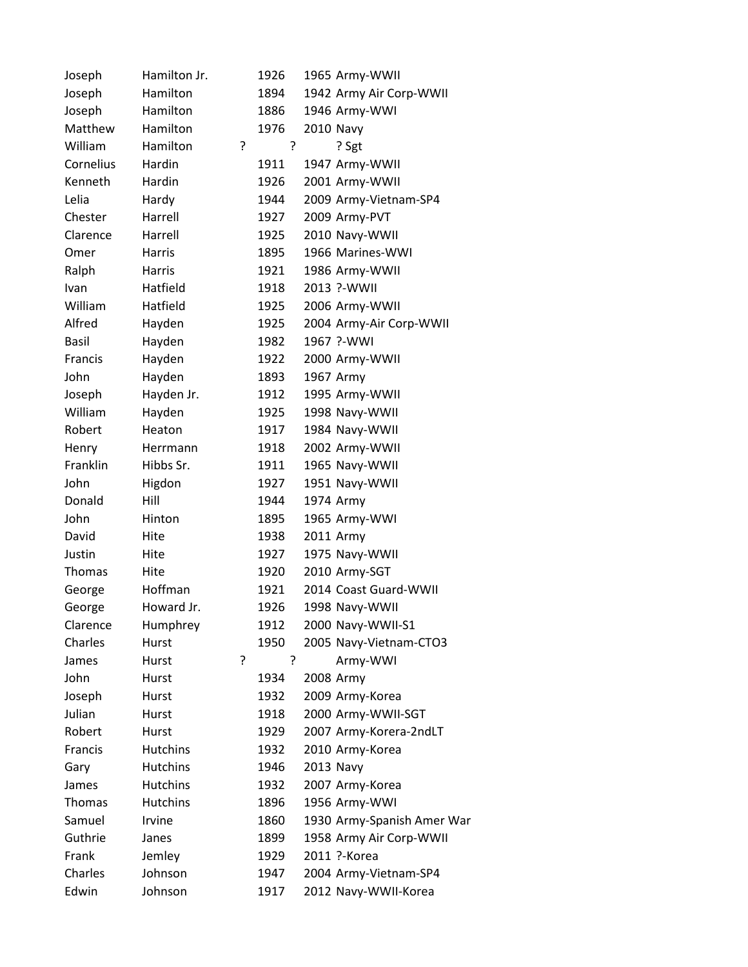| Joseph        | Hamilton Jr.    |   | 1926 |  | 1965 Army-WWII             |
|---------------|-----------------|---|------|--|----------------------------|
| Joseph        | Hamilton        |   | 1894 |  | 1942 Army Air Corp-WWII    |
| Joseph        | Hamilton        |   | 1886 |  | 1946 Army-WWI              |
| Matthew       | Hamilton        |   | 1976 |  | 2010 Navy                  |
| William       | Hamilton        | ŗ | ?    |  | ? Sgt                      |
| Cornelius     | Hardin          |   | 1911 |  | 1947 Army-WWII             |
| Kenneth       | Hardin          |   | 1926 |  | 2001 Army-WWII             |
| Lelia         | Hardy           |   | 1944 |  | 2009 Army-Vietnam-SP4      |
| Chester       | Harrell         |   | 1927 |  | 2009 Army-PVT              |
| Clarence      | Harrell         |   | 1925 |  | 2010 Navy-WWII             |
| Omer          | <b>Harris</b>   |   | 1895 |  | 1966 Marines-WWI           |
| Ralph         | Harris          |   | 1921 |  | 1986 Army-WWII             |
| Ivan          | Hatfield        |   | 1918 |  | 2013 ?-WWII                |
| William       | Hatfield        |   | 1925 |  | 2006 Army-WWII             |
| Alfred        | Hayden          |   | 1925 |  | 2004 Army-Air Corp-WWII    |
| <b>Basil</b>  | Hayden          |   | 1982 |  | 1967 ?- WWI                |
| Francis       | Hayden          |   | 1922 |  | 2000 Army-WWII             |
| John          | Hayden          |   | 1893 |  | 1967 Army                  |
| Joseph        | Hayden Jr.      |   | 1912 |  | 1995 Army-WWII             |
| William       | Hayden          |   | 1925 |  | 1998 Navy-WWII             |
| Robert        | Heaton          |   | 1917 |  | 1984 Navy-WWII             |
| Henry         | Herrmann        |   | 1918 |  | 2002 Army-WWII             |
| Franklin      | Hibbs Sr.       |   | 1911 |  | 1965 Navy-WWII             |
| John          | Higdon          |   | 1927 |  | 1951 Navy-WWII             |
| Donald        | Hill            |   | 1944 |  | 1974 Army                  |
| John          | Hinton          |   | 1895 |  | 1965 Army-WWI              |
| David         | Hite            |   | 1938 |  | 2011 Army                  |
| Justin        | Hite            |   | 1927 |  | 1975 Navy-WWII             |
| Thomas        | Hite            |   | 1920 |  | 2010 Army-SGT              |
| George        | Hoffman         |   | 1921 |  | 2014 Coast Guard-WWII      |
| George        | Howard Jr.      |   | 1926 |  | 1998 Navy-WWII             |
| Clarence      | Humphrey        |   | 1912 |  | 2000 Navy-WWII-S1          |
| Charles       | Hurst           |   | 1950 |  | 2005 Navy-Vietnam-CTO3     |
| James         | Hurst           | ? | ?    |  | Army-WWI                   |
| John          | Hurst           |   | 1934 |  | 2008 Army                  |
| Joseph        | Hurst           |   | 1932 |  | 2009 Army-Korea            |
| Julian        | Hurst           |   | 1918 |  | 2000 Army-WWII-SGT         |
| Robert        | Hurst           |   | 1929 |  | 2007 Army-Korera-2ndLT     |
| Francis       | <b>Hutchins</b> |   | 1932 |  | 2010 Army-Korea            |
| Gary          | <b>Hutchins</b> |   | 1946 |  | 2013 Navy                  |
| James         | <b>Hutchins</b> |   | 1932 |  | 2007 Army-Korea            |
| <b>Thomas</b> | <b>Hutchins</b> |   | 1896 |  | 1956 Army-WWI              |
| Samuel        | Irvine          |   | 1860 |  | 1930 Army-Spanish Amer War |
| Guthrie       | Janes           |   | 1899 |  | 1958 Army Air Corp-WWII    |
| Frank         | Jemley          |   | 1929 |  | 2011 ?-Korea               |
| Charles       | Johnson         |   | 1947 |  | 2004 Army-Vietnam-SP4      |
| Edwin         | Johnson         |   | 1917 |  | 2012 Navy-WWII-Korea       |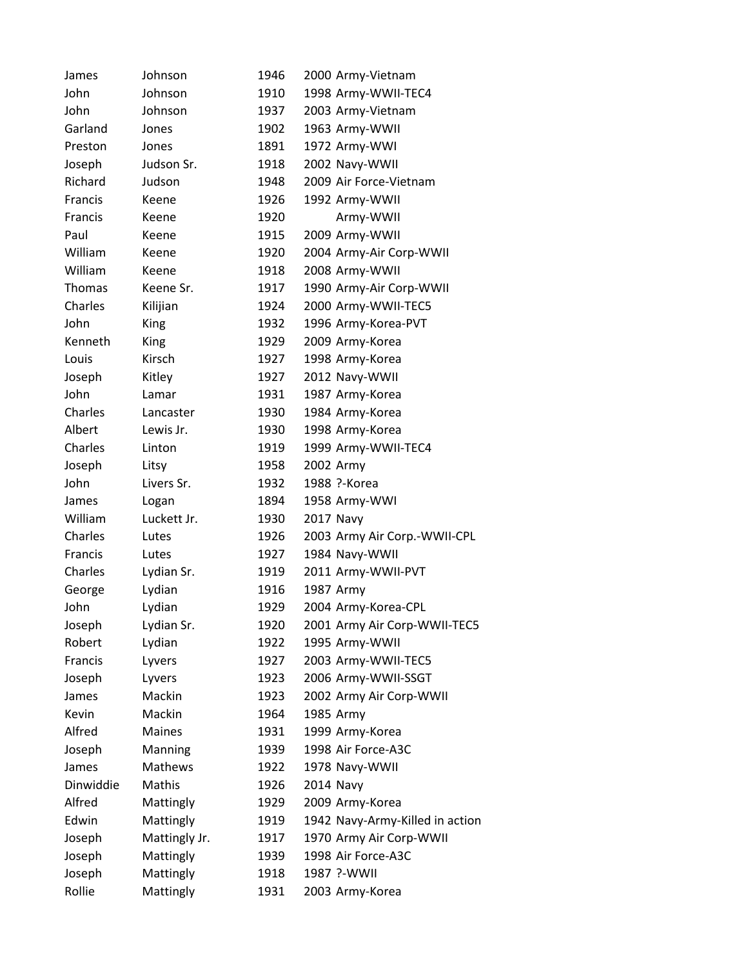| James          | Johnson        | 1946 | 2000 Army-Vietnam               |
|----------------|----------------|------|---------------------------------|
| John           | Johnson        | 1910 | 1998 Army-WWII-TEC4             |
| John           | Johnson        | 1937 | 2003 Army-Vietnam               |
| Garland        | Jones          | 1902 | 1963 Army-WWII                  |
| Preston        | Jones          | 1891 | 1972 Army-WWI                   |
| Joseph         | Judson Sr.     | 1918 | 2002 Navy-WWII                  |
| Richard        | Judson         | 1948 | 2009 Air Force-Vietnam          |
| <b>Francis</b> | Keene          | 1926 | 1992 Army-WWII                  |
| Francis        | Keene          | 1920 | Army-WWII                       |
| Paul           | Keene          | 1915 | 2009 Army-WWII                  |
| William        | Keene          | 1920 | 2004 Army-Air Corp-WWII         |
| William        | Keene          | 1918 | 2008 Army-WWII                  |
| <b>Thomas</b>  | Keene Sr.      | 1917 | 1990 Army-Air Corp-WWII         |
| Charles        | Kilijian       | 1924 | 2000 Army-WWII-TEC5             |
| John           | King           | 1932 | 1996 Army-Korea-PVT             |
| Kenneth        | King           | 1929 | 2009 Army-Korea                 |
| Louis          | Kirsch         | 1927 | 1998 Army-Korea                 |
| Joseph         | Kitley         | 1927 | 2012 Navy-WWII                  |
| John           | Lamar          | 1931 | 1987 Army-Korea                 |
| Charles        | Lancaster      | 1930 | 1984 Army-Korea                 |
| Albert         | Lewis Jr.      | 1930 | 1998 Army-Korea                 |
| Charles        | Linton         | 1919 | 1999 Army-WWII-TEC4             |
| Joseph         | Litsy          | 1958 | 2002 Army                       |
| John           | Livers Sr.     | 1932 | 1988 ?-Korea                    |
| James          | Logan          | 1894 | 1958 Army-WWI                   |
| William        | Luckett Jr.    | 1930 | 2017 Navy                       |
| Charles        | Lutes          | 1926 | 2003 Army Air Corp.-WWII-CPL    |
| Francis        | Lutes          | 1927 | 1984 Navy-WWII                  |
| Charles        | Lydian Sr.     | 1919 | 2011 Army-WWII-PVT              |
| George         | Lydian         | 1916 | 1987 Army                       |
| John           | Lydian         | 1929 | 2004 Army-Korea-CPL             |
| Joseph         | Lydian Sr.     | 1920 | 2001 Army Air Corp-WWII-TEC5    |
| Robert         | Lydian         | 1922 | 1995 Army-WWII                  |
| Francis        | Lyvers         | 1927 | 2003 Army-WWII-TEC5             |
| Joseph         | Lyvers         | 1923 | 2006 Army-WWII-SSGT             |
| James          | Mackin         | 1923 | 2002 Army Air Corp-WWII         |
| Kevin          | Mackin         | 1964 | 1985 Army                       |
| Alfred         | Maines         | 1931 | 1999 Army-Korea                 |
| Joseph         | Manning        | 1939 | 1998 Air Force-A3C              |
| James          | <b>Mathews</b> | 1922 | 1978 Navy-WWII                  |
| Dinwiddie      | Mathis         | 1926 | <b>2014 Navy</b>                |
| Alfred         | Mattingly      | 1929 | 2009 Army-Korea                 |
| Edwin          | Mattingly      | 1919 | 1942 Navy-Army-Killed in action |
| Joseph         | Mattingly Jr.  | 1917 | 1970 Army Air Corp-WWII         |
| Joseph         | Mattingly      | 1939 | 1998 Air Force-A3C              |
| Joseph         | Mattingly      | 1918 | 1987 ?-WWII                     |
| Rollie         | Mattingly      | 1931 | 2003 Army-Korea                 |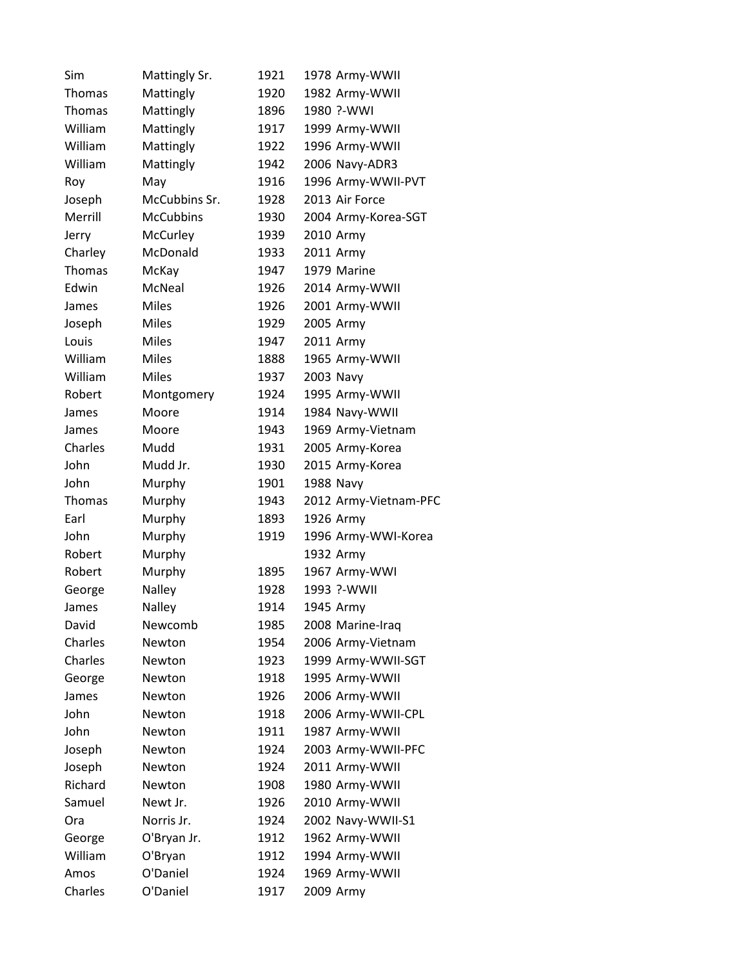| Sim           | Mattingly Sr.    | 1921 | 1978 Army-WWII        |
|---------------|------------------|------|-----------------------|
| Thomas        | Mattingly        | 1920 | 1982 Army-WWII        |
| <b>Thomas</b> | Mattingly        | 1896 | 1980 ?-WWI            |
| William       | Mattingly        | 1917 | 1999 Army-WWII        |
| William       | Mattingly        | 1922 | 1996 Army-WWII        |
| William       | Mattingly        | 1942 | 2006 Navy-ADR3        |
| Roy           | May              | 1916 | 1996 Army-WWII-PVT    |
| Joseph        | McCubbins Sr.    | 1928 | 2013 Air Force        |
| Merrill       | <b>McCubbins</b> | 1930 | 2004 Army-Korea-SGT   |
| Jerry         | McCurley         | 1939 | 2010 Army             |
| Charley       | McDonald         | 1933 | 2011 Army             |
| <b>Thomas</b> | McKay            | 1947 | 1979 Marine           |
| Edwin         | McNeal           | 1926 | 2014 Army-WWII        |
| James         | <b>Miles</b>     | 1926 | 2001 Army-WWII        |
| Joseph        | <b>Miles</b>     | 1929 | 2005 Army             |
| Louis         | <b>Miles</b>     | 1947 | 2011 Army             |
| William       | <b>Miles</b>     | 1888 | 1965 Army-WWII        |
| William       | <b>Miles</b>     | 1937 | 2003 Navy             |
| Robert        | Montgomery       | 1924 | 1995 Army-WWII        |
| James         | Moore            | 1914 | 1984 Navy-WWII        |
| James         | Moore            | 1943 | 1969 Army-Vietnam     |
| Charles       | Mudd             | 1931 | 2005 Army-Korea       |
| John          | Mudd Jr.         | 1930 | 2015 Army-Korea       |
| John          | Murphy           | 1901 | 1988 Navy             |
| <b>Thomas</b> | Murphy           | 1943 | 2012 Army-Vietnam-PFC |
| Earl          | Murphy           | 1893 | 1926 Army             |
| John          | Murphy           | 1919 | 1996 Army-WWI-Korea   |
| Robert        | Murphy           |      | 1932 Army             |
| Robert        | Murphy           | 1895 | 1967 Army-WWI         |
| George        | Nalley           | 1928 | 1993 ?-WWII           |
| James         | Nalley           | 1914 | 1945 Army             |
| David         | Newcomb          | 1985 | 2008 Marine-Iraq      |
| Charles       | Newton           | 1954 | 2006 Army-Vietnam     |
| Charles       | Newton           | 1923 | 1999 Army-WWII-SGT    |
| George        | Newton           | 1918 | 1995 Army-WWII        |
| James         | Newton           | 1926 | 2006 Army-WWII        |
| John          | Newton           | 1918 | 2006 Army-WWII-CPL    |
| John          | Newton           | 1911 | 1987 Army-WWII        |
| Joseph        | Newton           | 1924 | 2003 Army-WWII-PFC    |
| Joseph        | Newton           | 1924 | 2011 Army-WWII        |
| Richard       | Newton           | 1908 | 1980 Army-WWII        |
| Samuel        | Newt Jr.         | 1926 | 2010 Army-WWII        |
| Ora           | Norris Jr.       | 1924 | 2002 Navy-WWII-S1     |
| George        | O'Bryan Jr.      | 1912 | 1962 Army-WWII        |
| William       | O'Bryan          | 1912 | 1994 Army-WWII        |
| Amos          | O'Daniel         | 1924 | 1969 Army-WWII        |
| Charles       | O'Daniel         | 1917 | 2009 Army             |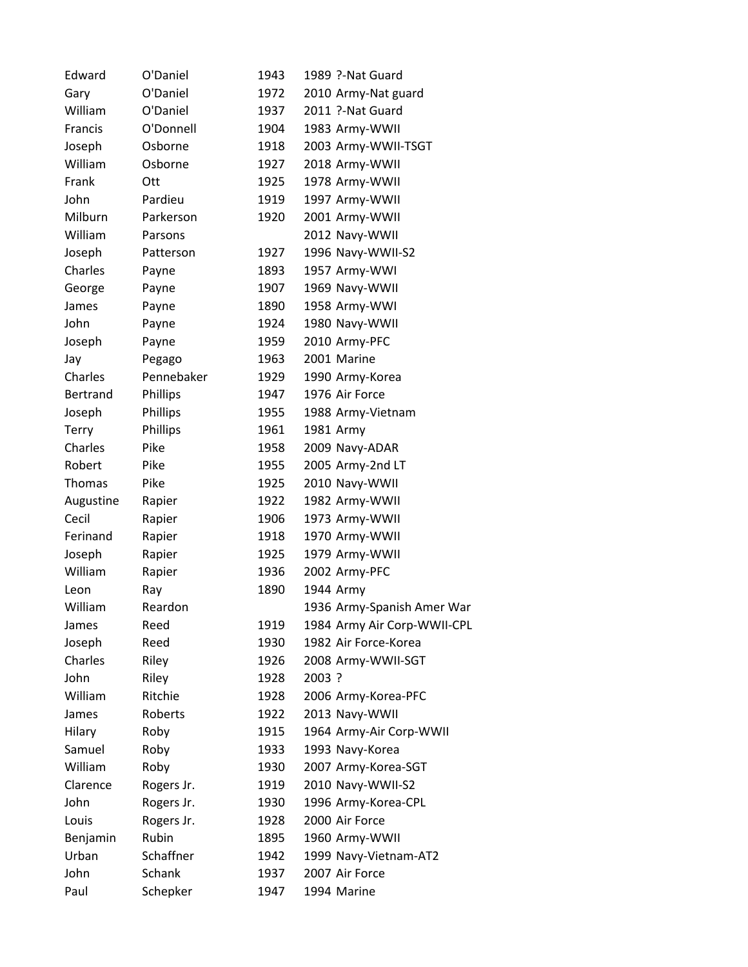| Edward       | O'Daniel   | 1943 | 1989 ?-Nat Guard            |
|--------------|------------|------|-----------------------------|
| Gary         | O'Daniel   | 1972 | 2010 Army-Nat guard         |
| William      | O'Daniel   | 1937 | 2011 ?-Nat Guard            |
| Francis      | O'Donnell  | 1904 | 1983 Army-WWII              |
| Joseph       | Osborne    | 1918 | 2003 Army-WWII-TSGT         |
| William      | Osborne    | 1927 | 2018 Army-WWII              |
| Frank        | Ott        | 1925 | 1978 Army-WWII              |
| John         | Pardieu    | 1919 | 1997 Army-WWII              |
| Milburn      | Parkerson  | 1920 | 2001 Army-WWII              |
| William      | Parsons    |      | 2012 Navy-WWII              |
| Joseph       | Patterson  | 1927 | 1996 Navy-WWII-S2           |
| Charles      | Payne      | 1893 | 1957 Army-WWI               |
| George       | Payne      | 1907 | 1969 Navy-WWII              |
| James        | Payne      | 1890 | 1958 Army-WWI               |
| John         | Payne      | 1924 | 1980 Navy-WWII              |
| Joseph       | Payne      | 1959 | 2010 Army-PFC               |
| Jay          | Pegago     | 1963 | 2001 Marine                 |
| Charles      | Pennebaker | 1929 | 1990 Army-Korea             |
| Bertrand     | Phillips   | 1947 | 1976 Air Force              |
| Joseph       | Phillips   | 1955 | 1988 Army-Vietnam           |
| <b>Terry</b> | Phillips   | 1961 | 1981 Army                   |
| Charles      | Pike       | 1958 | 2009 Navy-ADAR              |
| Robert       | Pike       | 1955 | 2005 Army-2nd LT            |
| Thomas       | Pike       | 1925 | 2010 Navy-WWII              |
| Augustine    | Rapier     | 1922 | 1982 Army-WWII              |
| Cecil        | Rapier     | 1906 | 1973 Army-WWII              |
| Ferinand     | Rapier     | 1918 | 1970 Army-WWII              |
| Joseph       | Rapier     | 1925 | 1979 Army-WWII              |
| William      | Rapier     | 1936 | 2002 Army-PFC               |
| Leon         | Ray        | 1890 | 1944 Army                   |
| William      | Reardon    |      | 1936 Army-Spanish Amer War  |
| James        | Reed       | 1919 | 1984 Army Air Corp-WWII-CPL |
| Joseph       | Reed       | 1930 | 1982 Air Force-Korea        |
| Charles      | Riley      | 1926 | 2008 Army-WWII-SGT          |
| John         | Riley      | 1928 | 2003 ?                      |
| William      | Ritchie    | 1928 | 2006 Army-Korea-PFC         |
| James        | Roberts    | 1922 | 2013 Navy-WWII              |
| Hilary       | Roby       | 1915 | 1964 Army-Air Corp-WWII     |
| Samuel       | Roby       | 1933 | 1993 Navy-Korea             |
| William      | Roby       | 1930 | 2007 Army-Korea-SGT         |
| Clarence     | Rogers Jr. | 1919 | 2010 Navy-WWII-S2           |
| John         | Rogers Jr. | 1930 | 1996 Army-Korea-CPL         |
| Louis        | Rogers Jr. | 1928 | 2000 Air Force              |
| Benjamin     | Rubin      | 1895 | 1960 Army-WWII              |
| Urban        | Schaffner  | 1942 | 1999 Navy-Vietnam-AT2       |
| John         | Schank     | 1937 | 2007 Air Force              |
| Paul         | Schepker   | 1947 | 1994 Marine                 |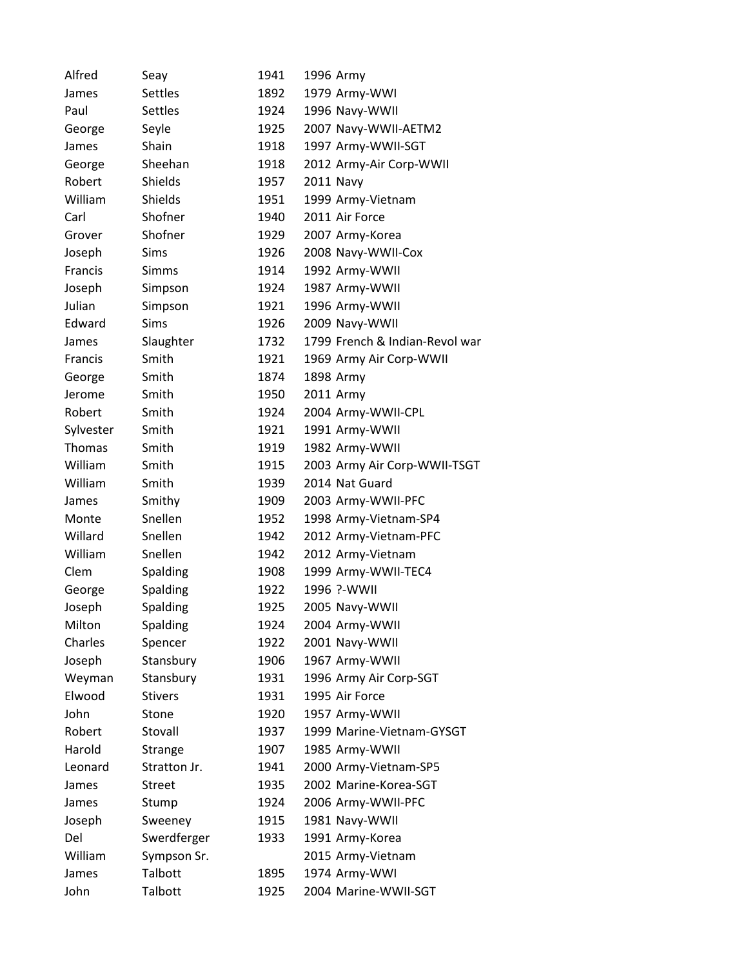| Alfred         | Seay            | 1941 | 1996 Army                      |
|----------------|-----------------|------|--------------------------------|
| James          | <b>Settles</b>  | 1892 | 1979 Army-WWI                  |
| Paul           | Settles         | 1924 | 1996 Navy-WWII                 |
| George         | Seyle           | 1925 | 2007 Navy-WWII-AETM2           |
| James          | Shain           | 1918 | 1997 Army-WWII-SGT             |
| George         | Sheehan         | 1918 | 2012 Army-Air Corp-WWII        |
| Robert         | Shields         | 1957 | 2011 Navy                      |
| William        | Shields         | 1951 | 1999 Army-Vietnam              |
| Carl           | Shofner         | 1940 | 2011 Air Force                 |
| Grover         | Shofner         | 1929 | 2007 Army-Korea                |
| Joseph         | Sims            | 1926 | 2008 Navy-WWII-Cox             |
| Francis        | <b>Simms</b>    | 1914 | 1992 Army-WWII                 |
| Joseph         | Simpson         | 1924 | 1987 Army-WWII                 |
| Julian         | Simpson         | 1921 | 1996 Army-WWII                 |
| Edward         | <b>Sims</b>     | 1926 | 2009 Navy-WWII                 |
| James          | Slaughter       | 1732 | 1799 French & Indian-Revol war |
| <b>Francis</b> | Smith           | 1921 | 1969 Army Air Corp-WWII        |
| George         | Smith           | 1874 | 1898 Army                      |
| Jerome         | Smith           | 1950 | 2011 Army                      |
| Robert         | Smith           | 1924 | 2004 Army-WWII-CPL             |
| Sylvester      | Smith           | 1921 | 1991 Army-WWII                 |
| <b>Thomas</b>  | Smith           | 1919 | 1982 Army-WWII                 |
| William        | Smith           | 1915 | 2003 Army Air Corp-WWII-TSGT   |
| William        | Smith           | 1939 | 2014 Nat Guard                 |
| James          | Smithy          | 1909 | 2003 Army-WWII-PFC             |
| Monte          | Snellen         | 1952 | 1998 Army-Vietnam-SP4          |
| Willard        | Snellen         | 1942 | 2012 Army-Vietnam-PFC          |
| William        | Snellen         | 1942 | 2012 Army-Vietnam              |
| Clem           | <b>Spalding</b> | 1908 | 1999 Army-WWII-TEC4            |
| George         | Spalding        | 1922 | 1996 ?-WWII                    |
| Joseph         | Spalding        | 1925 | 2005 Navy-WWII                 |
| Milton         | Spalding        | 1924 | 2004 Army-WWII                 |
| Charles        | Spencer         | 1922 | 2001 Navy-WWII                 |
| Joseph         | Stansbury       | 1906 | 1967 Army-WWII                 |
| Weyman         | Stansbury       | 1931 | 1996 Army Air Corp-SGT         |
| Elwood         | <b>Stivers</b>  | 1931 | 1995 Air Force                 |
| John           | Stone           | 1920 | 1957 Army-WWII                 |
| Robert         | Stovall         | 1937 | 1999 Marine-Vietnam-GYSGT      |
| Harold         | Strange         | 1907 | 1985 Army-WWII                 |
| Leonard        | Stratton Jr.    | 1941 | 2000 Army-Vietnam-SP5          |
| James          | <b>Street</b>   | 1935 | 2002 Marine-Korea-SGT          |
| James          | Stump           | 1924 | 2006 Army-WWII-PFC             |
| Joseph         | Sweeney         | 1915 | 1981 Navy-WWII                 |
| Del            | Swerdferger     | 1933 | 1991 Army-Korea                |
| William        | Sympson Sr.     |      | 2015 Army-Vietnam              |
| James          | <b>Talbott</b>  | 1895 | 1974 Army-WWI                  |
| John           | Talbott         | 1925 | 2004 Marine-WWII-SGT           |